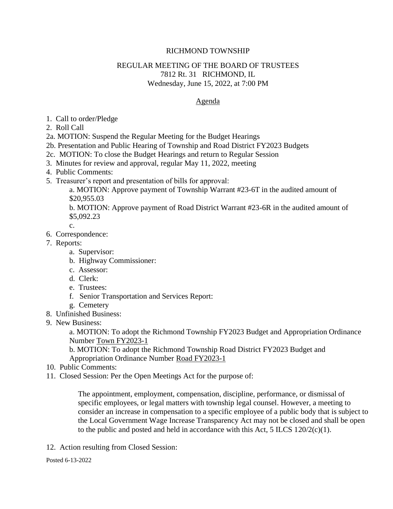## RICHMOND TOWNSHIP

## REGULAR MEETING OF THE BOARD OF TRUSTEES 7812 Rt. 31 RICHMOND, IL Wednesday, June 15, 2022, at 7:00 PM

## Agenda

- 1. Call to order/Pledge
- 2. Roll Call
- 2a. MOTION: Suspend the Regular Meeting for the Budget Hearings
- 2b. Presentation and Public Hearing of Township and Road District FY2023 Budgets
- 2c. MOTION: To close the Budget Hearings and return to Regular Session
- 3. Minutes for review and approval, regular May 11, 2022, meeting
- 4. Public Comments:
- 5. Treasurer's report and presentation of bills for approval:

a. MOTION: Approve payment of Township Warrant #23-6T in the audited amount of \$20,955.03

b. MOTION: Approve payment of Road District Warrant #23-6R in the audited amount of \$5,092.23

c.

- 6. Correspondence:
- 7. Reports:
	- a. Supervisor:
		- b. Highway Commissioner:
		- c. Assessor:
		- d. Clerk:
		- e. Trustees:
		- f. Senior Transportation and Services Report:
		- g. Cemetery
- 8. Unfinished Business:
- 9. New Business:

a. MOTION: To adopt the Richmond Township FY2023 Budget and Appropriation Ordinance Number Town FY2023-1

b. MOTION: To adopt the Richmond Township Road District FY2023 Budget and Appropriation Ordinance Number Road FY2023-1

- 10. Public Comments:
- 11. Closed Session: Per the Open Meetings Act for the purpose of:

The appointment, employment, compensation, discipline, performance, or dismissal of specific employees, or legal matters with township legal counsel. However, a meeting to consider an increase in compensation to a specific employee of a public body that is subject to the Local Government Wage Increase Transparency Act may not be closed and shall be open to the public and posted and held in accordance with this Act, 5 ILCS 120/2(c)(1).

12. Action resulting from Closed Session:

Posted 6-13-2022